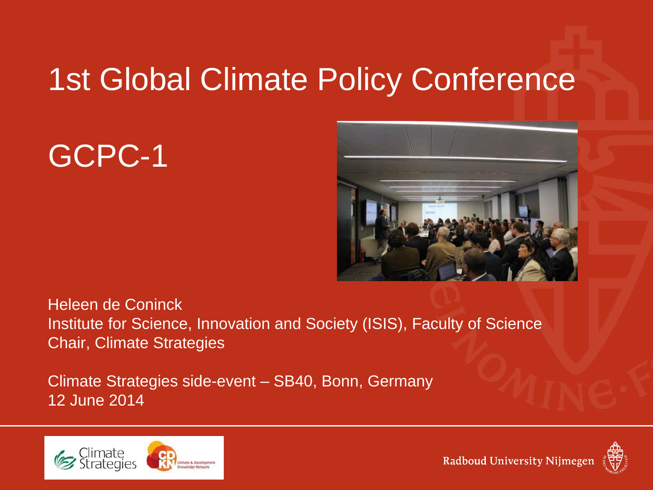# 1st Global Climate Policy Conference

GCPC-1



Heleen de Coninck Institute for Science, Innovation and Society (ISIS), Faculty of Science Chair, Climate Strategies

Climate Strategies side-event – SB40, Bonn, Germany 12 June 2014



Radboud University Nijmegen

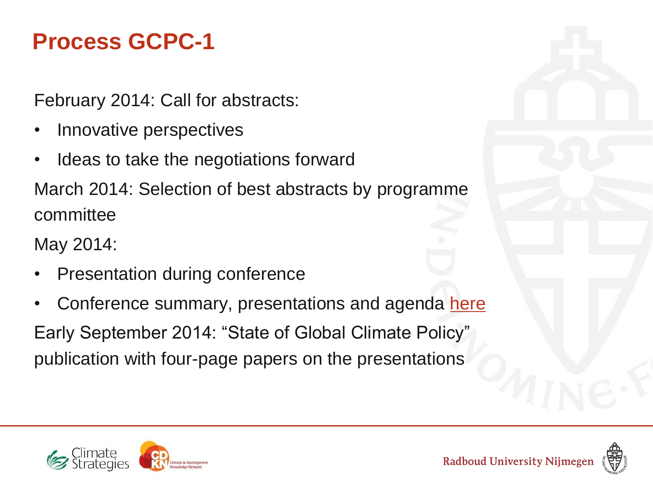#### **Process GCPC-1**

February 2014: Call for abstracts:

- Innovative perspectives
- I deas to take the negotiations forward

March 2014: Selection of best abstracts by programme committee

May 2014:

- Presentation during conference
- Conference summary, presentations and agenda [here](http://climatestrategies.org/research/current-projects/climate-a-development-knowledge-network-cdkn.html)

Early September 2014: "State of Global Climate Policy" publication with four-page papers on the presentations



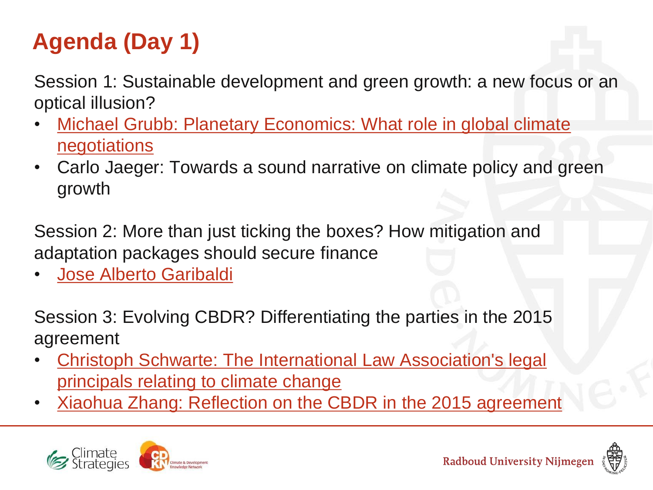### **Agenda (Day 1)**

Session 1: Sustainable development and green growth: a new focus or an optical illusion?

- Michael Grubb: Planetary Economics: What role in global climate **[negotiations](http://climatestrategies.org/images/stories/Planetary Economics Presentation.pdf)**
- Carlo Jaeger: Towards a sound narrative on climate policy and green growth

Session 2: More than just ticking the boxes? How mitigation and adaptation packages should secure finance

[Jose Alberto Garibaldi](http://climatestrategies.org/images/stories/Jose Garibaldi_Energeia.pdf)

Session 3: Evolving CBDR? Differentiating the parties in the 2015 agreement

- [Christoph](http://climatestrategies.org/images/stories/Schwarte C. Session 3.pdf) [Schwarte: The International Law Association's legal](http://climatestrategies.org/images/stories/Schwarte C. Session 3.pdf)  [principals relating to climate change](http://climatestrategies.org/images/stories/Schwarte C. Session 3.pdf)
- [Xiaohua](http://climatestrategies.org/images/stories/Reflection of CBDR in 2015 agreement.pdf) [Zhang: Reflection on the CBDR in the 2015 agreement](http://climatestrategies.org/images/stories/Reflection of CBDR in 2015 agreement.pdf)





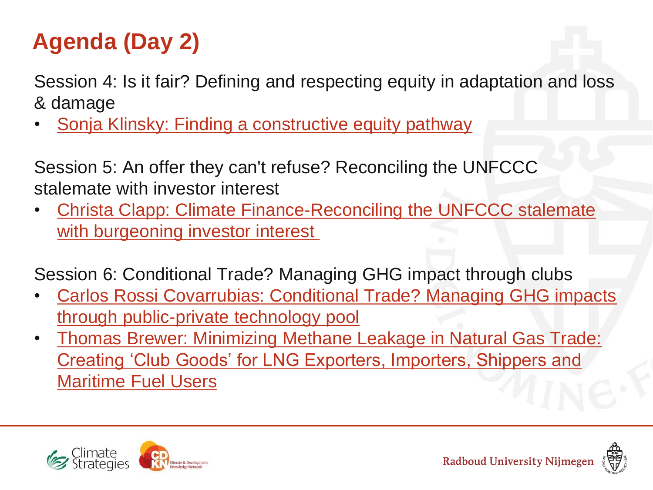### **Agenda (Day 2)**

Session 4: Is it fair? Defining and respecting equity in adaptation and loss & damage

Sonja Klinsky: Finding a constructive equity pathway

Session 5: An offer they can't refuse? Reconciling the UNFCCC stalemate with investor interest

• [Christa Clapp: Climate Finance-Reconciling the UNFCCC stalemate](http://climatestrategies.org/images/stories/Clapp C. Session5.pdf)  [with burgeoning investor interest](http://climatestrategies.org/images/stories/Clapp C. Session5.pdf)

Session 6: Conditional Trade? Managing GHG impact through clubs

- [Carlos Rossi Covarrubias: Conditional Trade? Managing GHG impacts](http://climatestrategies.org/images/stories/Carlos Rossi.pdf)  [through public-private technology pool](http://climatestrategies.org/images/stories/Carlos Rossi.pdf)
- [Thomas Brewer: Minimizing Methane Leakage in Natural Gas Trade:](http://climatestrategies.org/images/stories/Brewer T.  Session6.pdf)  [Creating 'Club Goods' for LNG Exporters, Importers, Shippers and](http://climatestrategies.org/images/stories/Brewer T. - Session6.pdf)  [Maritime Fuel Users](http://climatestrategies.org/images/stories/Brewer T. - Session6.pdf)



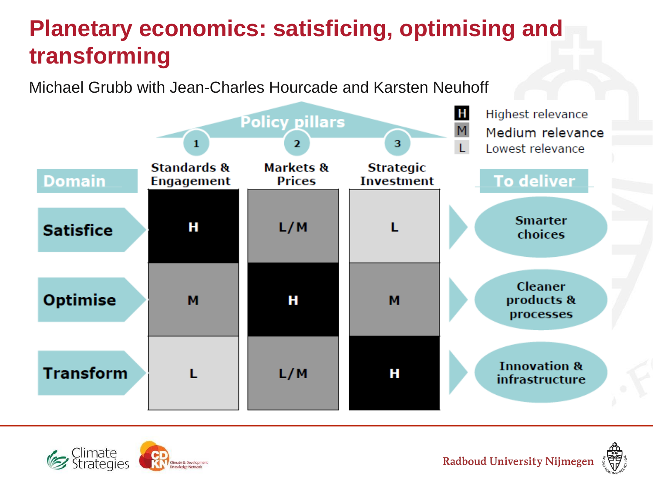#### **Planetary economics: satisficing, optimising and transforming**

Michael Grubb with Jean-Charles Hourcade and Karsten Neuhoff





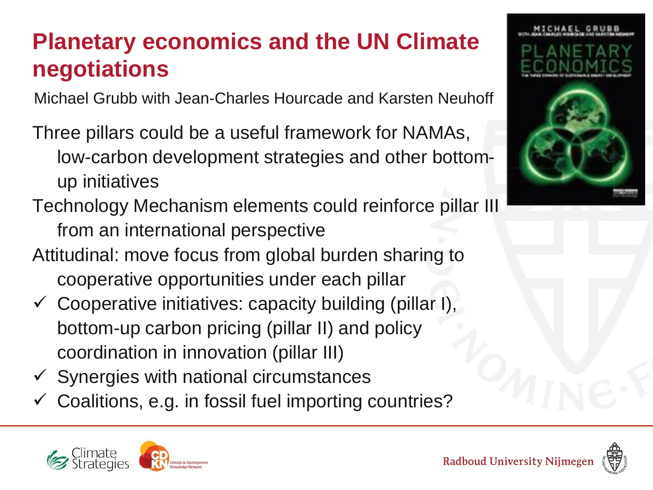#### **Planetary economics and the UN Climate negotiations**

Michael Grubb with Jean-Charles Hourcade and Karsten Neuhoff

Three pillars could be a useful framework for NAMAs, low-carbon development strategies and other bottomup initiatives

- Technology Mechanism elements could reinforce pillar III from an international perspective
- Attitudinal: move focus from global burden sharing to cooperative opportunities under each pillar
- $\checkmark$  Cooperative initiatives: capacity building (pillar I), bottom-up carbon pricing (pillar II) and policy coordination in innovation (pillar III)
- $\checkmark$  Synergies with national circumstances
- Coalitions, e.g. in fossil fuel importing countries?



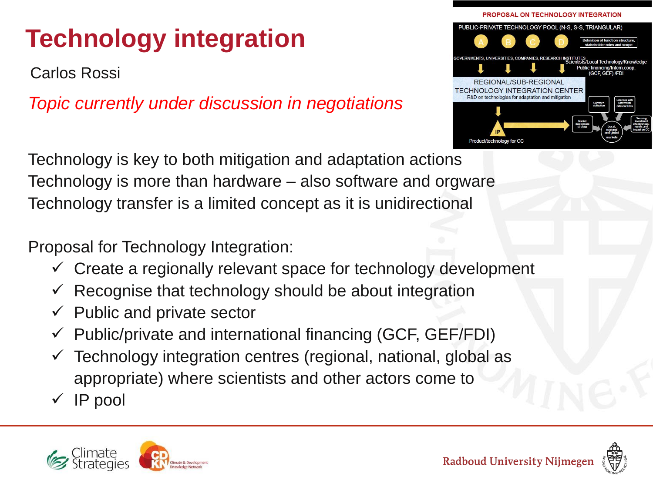### **Technology integration**

Carlos Rossi

*Topic currently under discussion in negotiations*

PROPOSAL ON TECHNOLOGY INTEGRATION PUBLIC-PRIVATE TECHNOLOGY POOL (N-S, S-S, TRIANGULAR) REGIONAL/SUB-REGIONAL FECHNOLOGY INTEGRATION CENTER

Technology is key to both mitigation and adaptation actions Technology is more than hardware – also software and orgware Technology transfer is a limited concept as it is unidirectional

Proposal for Technology Integration:

- $\checkmark$  Create a regionally relevant space for technology development
- $\checkmark$  Recognise that technology should be about integration
- $\checkmark$  Public and private sector
- $\checkmark$  Public/private and international financing (GCF, GEF/FDI)
- Technology integration centres (regional, national, global as appropriate) where scientists and other actors come to
- $\sqrt{ }$  IP pool



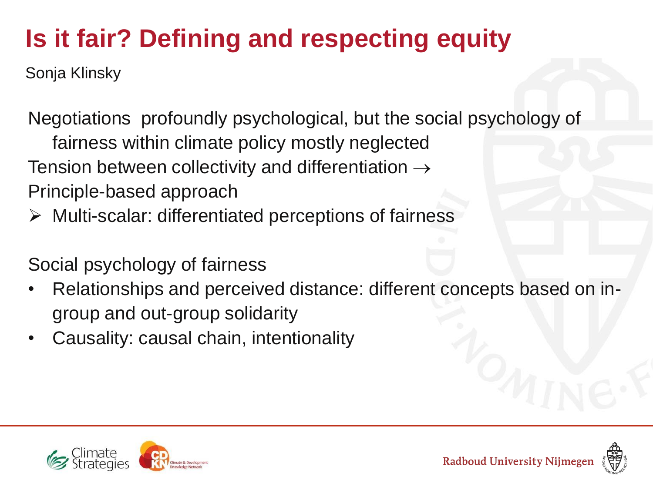## **Is it fair? Defining and respecting equity**

Sonja Klinsky

Negotiations profoundly psychological, but the social psychology of fairness within climate policy mostly neglected Tension between collectivity and differentiation  $\rightarrow$ Principle-based approach

Multi-scalar: differentiated perceptions of fairness

Social psychology of fairness

- Relationships and perceived distance: different concepts based on ingroup and out-group solidarity
- Causality: causal chain, intentionality



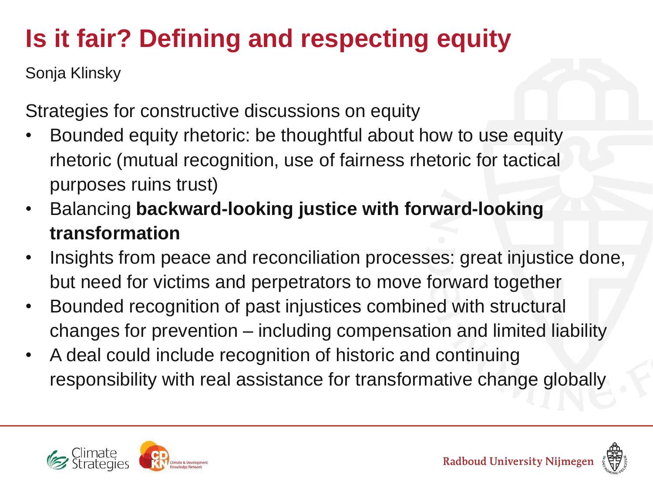# **Is it fair? Defining and respecting equity**

Sonja Klinsky

Strategies for constructive discussions on equity

- Bounded equity rhetoric: be thoughtful about how to use equity rhetoric (mutual recognition, use of fairness rhetoric for tactical purposes ruins trust)
- Balancing **backward-looking justice with forward-looking transformation**
- Insights from peace and reconciliation processes: great injustice done, but need for victims and perpetrators to move forward together
- Bounded recognition of past injustices combined with structural changes for prevention – including compensation and limited liability
- A deal could include recognition of historic and continuing responsibility with real assistance for transformative change globally